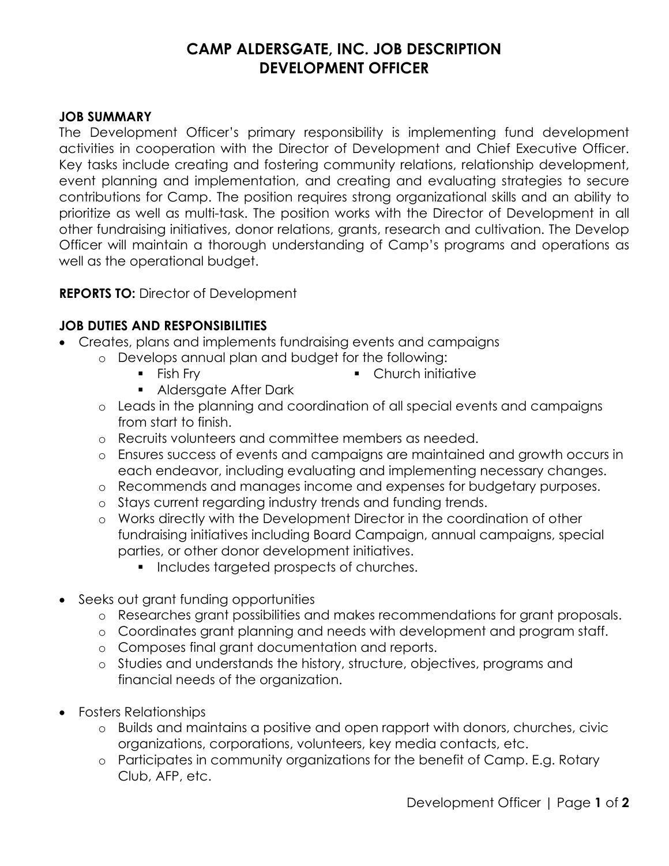# **CAMP ALDERSGATE, INC. JOB DESCRIPTION DEVELOPMENT OFFICER**

#### **JOB SUMMARY**

The Development Officer's primary responsibility is implementing fund development activities in cooperation with the Director of Development and Chief Executive Officer. Key tasks include creating and fostering community relations, relationship development, event planning and implementation, and creating and evaluating strategies to secure contributions for Camp. The position requires strong organizational skills and an ability to prioritize as well as multi-task. The position works with the Director of Development in all other fundraising initiatives, donor relations, grants, research and cultivation. The Develop Officer will maintain a thorough understanding of Camp's programs and operations as well as the operational budget.

## **REPORTS TO:** Director of Development

## **JOB DUTIES AND RESPONSIBILITIES**

- Creates, plans and implements fundraising events and campaigns
	- o Develops annual plan and budget for the following:
		- $\blacksquare$  Fish Fry
		- **Aldersgate After Dark**
		- o Leads in the planning and coordination of all special events and campaigns from start to finish.

• Church initiative

- o Recruits volunteers and committee members as needed.
- o Ensures success of events and campaigns are maintained and growth occurs in each endeavor, including evaluating and implementing necessary changes.
- o Recommends and manages income and expenses for budgetary purposes.
- o Stays current regarding industry trends and funding trends.
- o Works directly with the Development Director in the coordination of other fundraising initiatives including Board Campaign, annual campaigns, special parties, or other donor development initiatives.
	- **Includes targeted prospects of churches.**
- Seeks out grant funding opportunities
	- o Researches grant possibilities and makes recommendations for grant proposals.
	- o Coordinates grant planning and needs with development and program staff.
	- o Composes final grant documentation and reports.
	- o Studies and understands the history, structure, objectives, programs and financial needs of the organization.
- Fosters Relationships
	- o Builds and maintains a positive and open rapport with donors, churches, civic organizations, corporations, volunteers, key media contacts, etc.
	- o Participates in community organizations for the benefit of Camp. E.g. Rotary Club, AFP, etc.